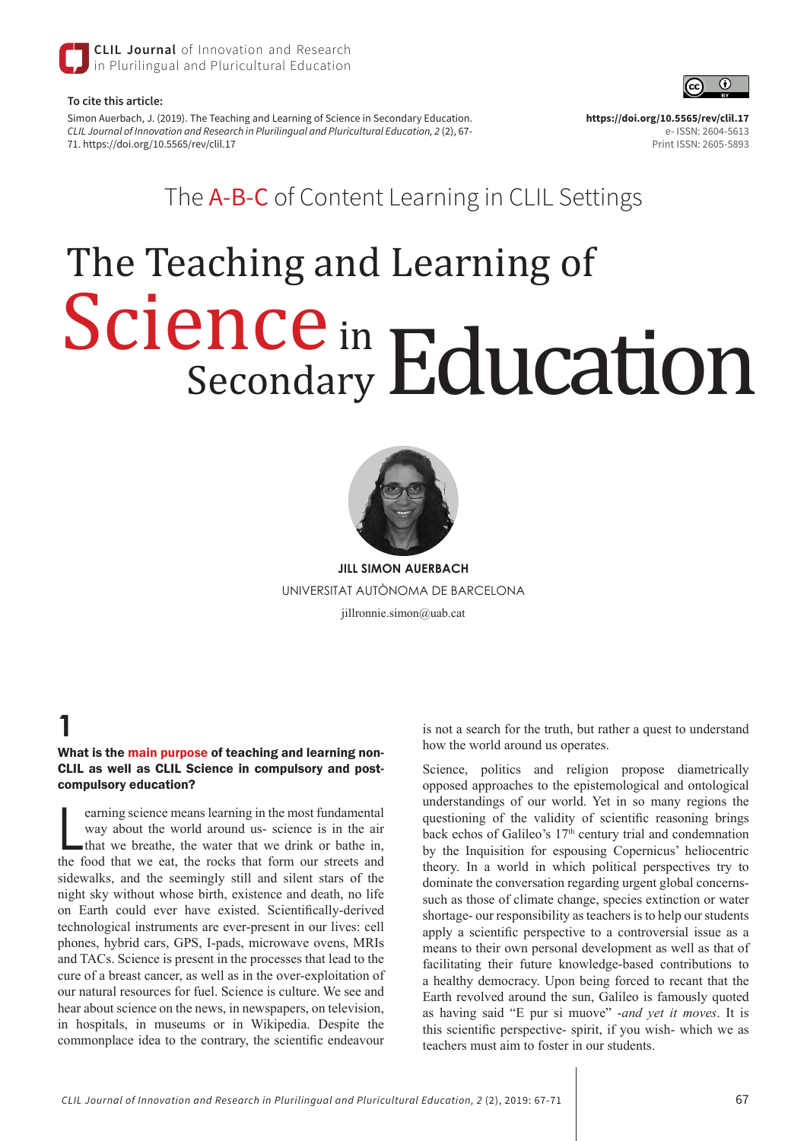

#### **To cite this article:**

Simon Auerbach, J. (2019). The Teaching and Learning of Science in Secondary Education. *CLIL Journal of Innovation and Research in Plurilingual and Pluricultural Education, 2* (2), 67- 71. https://doi.org/10.5565/rev/clil.17

 $\odot$ 

e- ISSN: 2604-5613 Print ISSN: 2605-5893

**https://doi.org/10.5565/rev/clil.17** 

The A-B-C of Content Learning in CLIL Settings

# The Teaching and Learning of Science in Secondary Education



**JILL SIMON AUERBACH** UNIVERSITAT AUTÒNOMA DE BARCELONA jillronnie.simon@uab.cat

# **1**

What is the main purpose of teaching and learning non-CLIL as well as CLIL Science in compulsory and postcompulsory education?

earning science means learning in the most fundamental<br>way about the world around us- science is in the air<br>that we breathe, the water that we drink or bathe in,<br>the food that we eat, the rocks that form our streets and earning science means learning in the most fundamental way about the world around us- science is in the air that we breathe, the water that we drink or bathe in, sidewalks, and the seemingly still and silent stars of the night sky without whose birth, existence and death, no life on Earth could ever have existed. Scientifically-derived technological instruments are ever-present in our lives: cell phones, hybrid cars, GPS, I-pads, microwave ovens, MRIs and TACs. Science is present in the processes that lead to the cure of a breast cancer, as well as in the over-exploitation of our natural resources for fuel. Science is culture. We see and hear about science on the news, in newspapers, on television, in hospitals, in museums or in Wikipedia. Despite the commonplace idea to the contrary, the scientific endeavour

is not a search for the truth, but rather a quest to understand how the world around us operates.

Science, politics and religion propose diametrically opposed approaches to the epistemological and ontological understandings of our world. Yet in so many regions the questioning of the validity of scientific reasoning brings back echos of Galileo's 17<sup>th</sup> century trial and condemnation by the Inquisition for espousing Copernicus' heliocentric theory. In a world in which political perspectives try to dominate the conversation regarding urgent global concernssuch as those of climate change, species extinction or water shortage- our responsibility as teachers is to help our students apply a scientific perspective to a controversial issue as a means to their own personal development as well as that of facilitating their future knowledge-based contributions to a healthy democracy. Upon being forced to recant that the Earth revolved around the sun, Galileo is famously quoted as having said "E pur si muove" -*and yet it moves*. It is this scientific perspective- spirit, if you wish- which we as teachers must aim to foster in our students.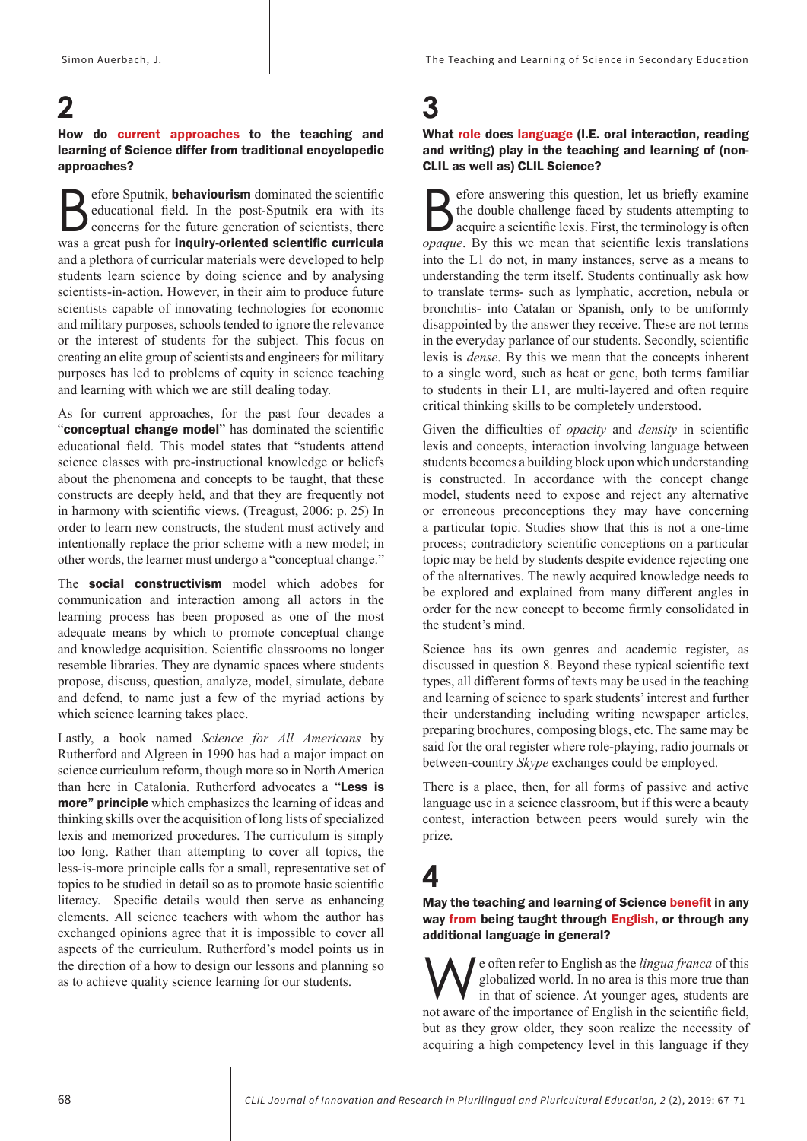#### **2** How do current approaches to the teaching and learning of Science differ from traditional encyclopedic approaches?

efore Sputnik, **behaviourism** dominated the scientific educational field. In the post-Sputnik era with its concerns for the future generation of scientists, there was a great push for inquiry-oriented scientific curricula and a plethora of curricular materials were developed to help students learn science by doing science and by analysing scientists-in-action. However, in their aim to produce future scientists capable of innovating technologies for economic and military purposes, schools tended to ignore the relevance or the interest of students for the subject. This focus on creating an elite group of scientists and engineers for military purposes has led to problems of equity in science teaching and learning with which we are still dealing today.

As for current approaches, for the past four decades a "conceptual change model" has dominated the scientific educational field. This model states that "students attend science classes with pre-instructional knowledge or beliefs about the phenomena and concepts to be taught, that these constructs are deeply held, and that they are frequently not in harmony with scientific views. (Treagust, 2006: p. 25) In order to learn new constructs, the student must actively and intentionally replace the prior scheme with a new model; in other words, the learner must undergo a "conceptual change."

The social constructivism model which adobes for communication and interaction among all actors in the learning process has been proposed as one of the most adequate means by which to promote conceptual change and knowledge acquisition. Scientific classrooms no longer resemble libraries. They are dynamic spaces where students propose, discuss, question, analyze, model, simulate, debate and defend, to name just a few of the myriad actions by which science learning takes place.

Lastly, a book named *Science for All Americans* by Rutherford and Algreen in 1990 has had a major impact on science curriculum reform, though more so in North America than here in Catalonia. Rutherford advocates a "Less is more" principle which emphasizes the learning of ideas and thinking skills over the acquisition of long lists of specialized lexis and memorized procedures. The curriculum is simply too long. Rather than attempting to cover all topics, the less-is-more principle calls for a small, representative set of topics to be studied in detail so as to promote basic scientific literacy. Specific details would then serve as enhancing elements. All science teachers with whom the author has exchanged opinions agree that it is impossible to cover all aspects of the curriculum. Rutherford's model points us in the direction of a how to design our lessons and planning so as to achieve quality science learning for our students.

# **3**

#### What role does language (I.E. oral interaction, reading and writing) play in the teaching and learning of (non-CLIL as well as) CLIL Science?

Section and the double challenge faced by students attempting to acquire a scientific lexis. First, the terminology is often the double challenge faced by students attempting to acquire a scientific lexis. First, the terminology is often *opaque*. By this we mean that scientific lexis translations into the L1 do not, in many instances, serve as a means to understanding the term itself. Students continually ask how to translate terms- such as lymphatic, accretion, nebula or bronchitis- into Catalan or Spanish, only to be uniformly disappointed by the answer they receive. These are not terms in the everyday parlance of our students. Secondly, scientific lexis is *dense*. By this we mean that the concepts inherent to a single word, such as heat or gene, both terms familiar to students in their L1, are multi-layered and often require critical thinking skills to be completely understood.

Given the difficulties of *opacity* and *density* in scientific lexis and concepts, interaction involving language between students becomes a building block upon which understanding is constructed. In accordance with the concept change model, students need to expose and reject any alternative or erroneous preconceptions they may have concerning a particular topic. Studies show that this is not a one-time process; contradictory scientific conceptions on a particular topic may be held by students despite evidence rejecting one of the alternatives. The newly acquired knowledge needs to be explored and explained from many different angles in order for the new concept to become firmly consolidated in the student's mind.

Science has its own genres and academic register, as discussed in question 8. Beyond these typical scientific text types, all different forms of texts may be used in the teaching and learning of science to spark students' interest and further their understanding including writing newspaper articles, preparing brochures, composing blogs, etc. The same may be said for the oral register where role-playing, radio journals or between-country *Skype* exchanges could be employed.

There is a place, then, for all forms of passive and active language use in a science classroom, but if this were a beauty contest, interaction between peers would surely win the prize.

### **4**

#### May the teaching and learning of Science benefit in any way from being taught through English, or through any additional language in general?

We often refer to English as the *lingua franca* of this globalized world. In no area is this more true than in that of science. At younger ages, students are not aware of the importance of English in the scientific field globalized world. In no area is this more true than in that of science. At younger ages, students are not aware of the importance of English in the scientific field, but as they grow older, they soon realize the necessity of acquiring a high competency level in this language if they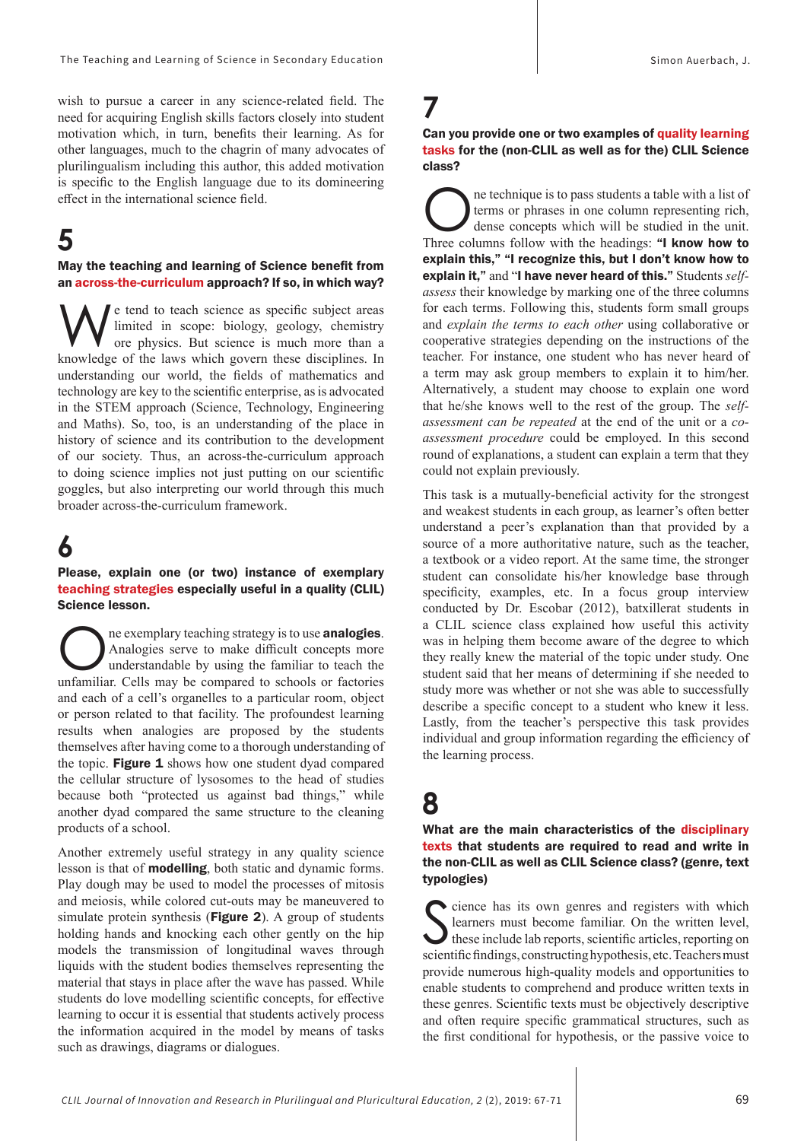wish to pursue a career in any science-related field. The need for acquiring English skills factors closely into student motivation which, in turn, benefits their learning. As for other languages, much to the chagrin of many advocates of plurilingualism including this author, this added motivation is specific to the English language due to its domineering effect in the international science field.

### **5**

#### May the teaching and learning of Science benefit from an across-the-curriculum approach? If so, in which way?

We tend to teach science as specific subject areas<br>
ore physics. But science is much more than a<br>
knowledge of the laws which govern these disciplines. In limited in scope: biology, geology, chemistry knowledge of the laws which govern these disciplines. In understanding our world, the fields of mathematics and technology are key to the scientific enterprise, as is advocated in the STEM approach (Science, Technology, Engineering and Maths). So, too, is an understanding of the place in history of science and its contribution to the development of our society. Thus, an across-the-curriculum approach to doing science implies not just putting on our scientific goggles, but also interpreting our world through this much broader across-the-curriculum framework.

### **6**

Please, explain one (or two) instance of exemplary teaching strategies especially useful in a quality (CLIL) Science lesson.

The exemplary teaching strategy is to use **analogies**.<br>Analogies serve to make difficult concepts more understandable by using the familiar to teach the unfamiliar. Cells may be compared to schools or factories. Analogies serve to make difficult concepts more understandable by using the familiar to teach the unfamiliar. Cells may be compared to schools or factories and each of a cell's organelles to a particular room, object or person related to that facility. The profoundest learning results when analogies are proposed by the students themselves after having come to a thorough understanding of the topic. Figure 1 shows how one student dyad compared the cellular structure of lysosomes to the head of studies because both "protected us against bad things," while another dyad compared the same structure to the cleaning products of a school.

Another extremely useful strategy in any quality science lesson is that of modelling, both static and dynamic forms. Play dough may be used to model the processes of mitosis and meiosis, while colored cut-outs may be maneuvered to simulate protein synthesis (Figure 2). A group of students holding hands and knocking each other gently on the hip models the transmission of longitudinal waves through liquids with the student bodies themselves representing the material that stays in place after the wave has passed. While students do love modelling scientific concepts, for effective learning to occur it is essential that students actively process the information acquired in the model by means of tasks such as drawings, diagrams or dialogues.

# **7**

#### Can you provide one or two examples of quality learning tasks for the (non-CLIL as well as for the) CLIL Science class?

ne technique is to pass students a table with a list of terms or phrases in one column representing rich, dense concepts which will be studied in the unit. Three columns follow with the headings: "I know how to explain this," "I recognize this, but I don't know how to explain it," and "I have never heard of this." Students *selfassess* their knowledge by marking one of the three columns for each terms. Following this, students form small groups and *explain the terms to each other* using collaborative or cooperative strategies depending on the instructions of the teacher. For instance, one student who has never heard of a term may ask group members to explain it to him/her. Alternatively, a student may choose to explain one word that he/she knows well to the rest of the group. The *selfassessment can be repeated* at the end of the unit or a *coassessment procedure* could be employed. In this second round of explanations, a student can explain a term that they could not explain previously.

This task is a mutually-beneficial activity for the strongest and weakest students in each group, as learner's often better understand a peer's explanation than that provided by a source of a more authoritative nature, such as the teacher, a textbook or a video report. At the same time, the stronger student can consolidate his/her knowledge base through specificity, examples, etc. In a focus group interview conducted by Dr. Escobar (2012), batxillerat students in a CLIL science class explained how useful this activity was in helping them become aware of the degree to which they really knew the material of the topic under study. One student said that her means of determining if she needed to study more was whether or not she was able to successfully describe a specific concept to a student who knew it less. Lastly, from the teacher's perspective this task provides individual and group information regarding the efficiency of the learning process.

### **8**

#### What are the main characteristics of the disciplinary texts that students are required to read and write in the non-CLIL as well as CLIL Science class? (genre, text typologies)

S cience has its own genres and registers with which<br>learners must become familiar. On the written level,<br>these include lab reports, scientific articles, reporting on<br>scientific findings constructing hypothesis etc. Teache learners must become familiar. On the written level, these include lab reports, scientific articles, reporting on scientific findings, constructing hypothesis, etc. Teachers must provide numerous high-quality models and opportunities to enable students to comprehend and produce written texts in these genres. Scientific texts must be objectively descriptive and often require specific grammatical structures, such as the first conditional for hypothesis, or the passive voice to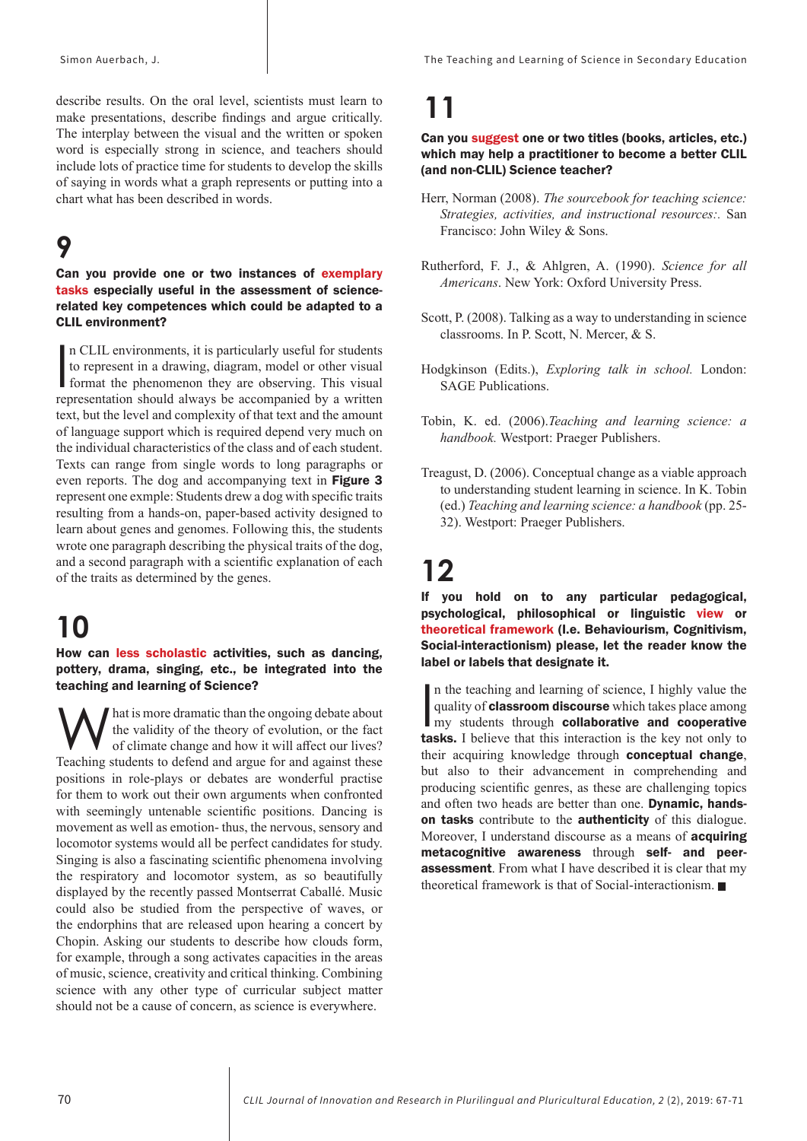Simon Auerbach, J. The Teaching and Learning of Science in Secondary Education

describe results. On the oral level, scientists must learn to make presentations, describe findings and argue critically. The interplay between the visual and the written or spoken word is especially strong in science, and teachers should include lots of practice time for students to develop the skills of saying in words what a graph represents or putting into a chart what has been described in words.

# **9**

#### Can you provide one or two instances of exemplary tasks especially useful in the assessment of sciencerelated key competences which could be adapted to a CLIL environment?

In CLIL environments, it is particularly useful for students<br>to represent in a drawing, diagram, model or other visual<br>format the phenomenon they are observing. This visual<br>representation should always be accompanied by a n CLIL environments, it is particularly useful for students to represent in a drawing, diagram, model or other visual representation should always be accompanied by a written text, but the level and complexity of that text and the amount of language support which is required depend very much on the individual characteristics of the class and of each student. Texts can range from single words to long paragraphs or even reports. The dog and accompanying text in Figure 3 represent one exmple: Students drew a dog with specific traits resulting from a hands-on, paper-based activity designed to learn about genes and genomes. Following this, the students wrote one paragraph describing the physical traits of the dog, and a second paragraph with a scientific explanation of each of the traits as determined by the genes.

# **10**

How can less scholastic activities, such as dancing, pottery, drama, singing, etc., be integrated into the teaching and learning of Science?

What is more dramatic than the ongoing debate about<br>the validity of the theory of evolution, or the fact<br>of climate change and how it will affect our lives?<br>Teaching students to defend and argue for and against these the validity of the theory of evolution, or the fact Teaching students to defend and argue for and against these positions in role-plays or debates are wonderful practise for them to work out their own arguments when confronted with seemingly untenable scientific positions. Dancing is movement as well as emotion- thus, the nervous, sensory and locomotor systems would all be perfect candidates for study. Singing is also a fascinating scientific phenomena involving the respiratory and locomotor system, as so beautifully displayed by the recently passed Montserrat Caballé. Music could also be studied from the perspective of waves, or the endorphins that are released upon hearing a concert by Chopin. Asking our students to describe how clouds form, for example, through a song activates capacities in the areas of music, science, creativity and critical thinking. Combining science with any other type of curricular subject matter should not be a cause of concern, as science is everywhere.

# **11**

#### Can you suggest one or two titles (books, articles, etc.) which may help a practitioner to become a better CLIL (and non-CLIL) Science teacher?

- Herr, Norman (2008). *The sourcebook for teaching science: Strategies, activities, and instructional resources:.* San Francisco: John Wiley & Sons.
- Rutherford, F. J., & Ahlgren, A. (1990). *Science for all Americans*. New York: Oxford University Press.
- Scott, P. (2008). Talking as a way to understanding in science classrooms. In P. Scott, N. Mercer, & S.
- Hodgkinson (Edits.), *Exploring talk in school.* London: SAGE Publications.
- Tobin, K. ed. (2006).*Teaching and learning science: a handbook.* Westport: Praeger Publishers.
- Treagust, D. (2006). Conceptual change as a viable approach to understanding student learning in science. In K. Tobin (ed.) *Teaching and learning science: a handbook* (pp. 25- 32). Westport: Praeger Publishers.

# **12**

If you hold on to any particular pedagogical, psychological, philosophical or linguistic view or theoretical framework (I.e. Behaviourism, Cognitivism, Social-interactionism) please, let the reader know the label or labels that designate it.

In the teaching and learning of science, I highly value the quality of **classroom discourse** which takes place among my students through **collaborative and cooperative tasks.** I believe that this interaction is the key not n the teaching and learning of science, I highly value the quality of **classroom discourse** which takes place among **now** students through collaborative and cooperative their acquiring knowledge through conceptual change, but also to their advancement in comprehending and producing scientific genres, as these are challenging topics and often two heads are better than one. Dynamic, handson tasks contribute to the authenticity of this dialogue. Moreover, I understand discourse as a means of **acquiring** metacognitive awareness through self- and peerassessment. From what I have described it is clear that my theoretical framework is that of Social-interactionism.